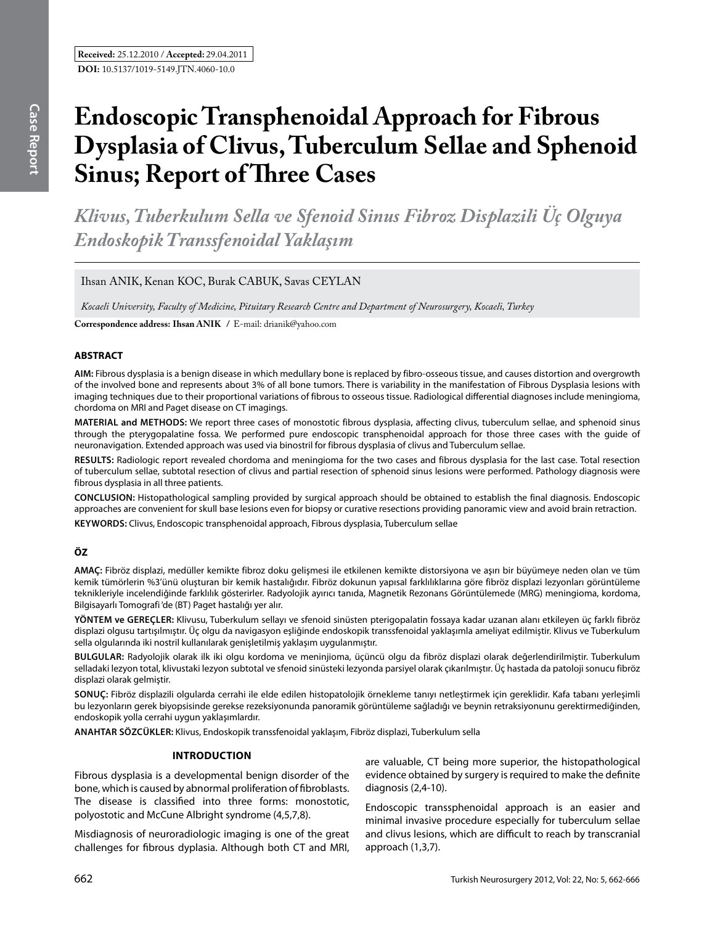*Klivus, Tuberkulum Sella ve Sfenoid Sinus Fibroz Displazili Üç Olguya Endoskopik Transsfenoidal Yaklaşım* 

Ihsan ANIK, Kenan KOC, Burak CABUK, Savas CEYLAN

*Kocaeli University, Faculty of Medicine, Pituitary Research Centre and Department of Neurosurgery, Kocaeli, Turkey*

**Correspondence address: Ihsan ANIK /** E-mail: drianik@yahoo.com

# **ABSTRACT**

**AIM:** Fibrous dysplasia is a benign disease in which medullary bone is replaced by fibro-osseous tissue, and causes distortion and overgrowth of the involved bone and represents about 3% of all bone tumors. There is variability in the manifestation of Fibrous Dysplasia lesions with imaging techniques due to their proportional variations of fibrous to osseous tissue. Radiological differential diagnoses include meningioma, chordoma on MRI and Paget disease on CT imagings.

**MATERIAL and METHODS:** We report three cases of monostotic fibrous dysplasia, affecting clivus, tuberculum sellae, and sphenoid sinus through the pterygopalatine fossa. We performed pure endoscopic transphenoidal approach for those three cases with the guide of neuronavigation. Extended approach was used via binostril for fibrous dysplasia of clivus and Tuberculum sellae.

**Results:** Radiologic report revealed chordoma and meningioma for the two cases and fibrous dysplasia for the last case. Total resection of tuberculum sellae, subtotal resection of clivus and partial resection of sphenoid sinus lesions were performed. Pathology diagnosis were fibrous dysplasia in all three patients.

**ConclusIon:** Histopathological sampling provided by surgical approach should be obtained to establish the final diagnosis. Endoscopic approaches are convenient for skull base lesions even for biopsy or curative resections providing panoramic view and avoid brain retraction.

**Keywords:** Clivus, Endoscopic transphenoidal approach, Fibrous dysplasia, Tuberculum sellae

# **ÖZ**

**AMAÇ:** Fibröz displazi, medüller kemikte fibroz doku gelişmesi ile etkilenen kemikte distorsiyona ve aşırı bir büyümeye neden olan ve tüm kemik tümörlerin %3'ünü oluşturan bir kemik hastalığıdır. Fibröz dokunun yapısal farklılıklarına göre fibröz displazi lezyonları görüntüleme teknikleriyle incelendiğinde farklılık gösterirler. Radyolojik ayırıcı tanıda, Magnetik Rezonans Görüntülemede (MRG) meningioma, kordoma, Bilgisayarlı Tomografi 'de (BT) Paget hastalığı yer alır.

**YÖNTEM ve GEREÇLER:** Klivusu, Tuberkulum sellayı ve sfenoid sinüsten pterigopalatin fossaya kadar uzanan alanı etkileyen üç farklı fibröz displazi olgusu tartışılmıştır. Üç olgu da navigasyon eşliğinde endoskopik transsfenoidal yaklaşımla ameliyat edilmiştir. Klivus ve Tuberkulum sella olgularında iki nostril kullanılarak genişletilmiş yaklaşım uygulanmıştır.

**Bulgular:** Radyolojik olarak ilk iki olgu kordoma ve meninjioma, üçüncü olgu da fibröz displazi olarak değerlendirilmiştir. Tuberkulum selladaki lezyon total, klivustaki lezyon subtotal ve sfenoid sinüsteki lezyonda parsiyel olarak çıkarılmıştır. Üç hastada da patoloji sonucu fibröz displazi olarak gelmiştir.

**Sonuç:** Fibröz displazili olgularda cerrahi ile elde edilen histopatolojik örnekleme tanıyı netleştirmek için gereklidir. Kafa tabanı yerleşimli bu lezyonların gerek biyopsisinde gerekse rezeksiyonunda panoramik görüntüleme sağladığı ve beynin retraksiyonunu gerektirmediğinden, endoskopik yolla cerrahi uygun yaklaşımlardır.

**ANAHTAR SÖZCÜKLER:** Klivus, Endoskopik transsfenoidal yaklaşım, Fibröz displazi, Tuberkulum sella

#### **Introduction**

Fibrous dysplasia is a developmental benign disorder of the bone, which is caused by abnormal proliferation of fibroblasts. The disease is classified into three forms: monostotic, polyostotic and McCune Albright syndrome (4,5,7,8).

Misdiagnosis of neuroradiologic imaging is one of the great challenges for fibrous dyplasia. Although both CT and MRI, are valuable, CT being more superior, the histopathological evidence obtained by surgery is required to make the definite diagnosis (2,4-10).

Endoscopic transsphenoidal approach is an easier and minimal invasive procedure especially for tuberculum sellae and clivus lesions, which are difficult to reach by transcranial approach (1,3,7).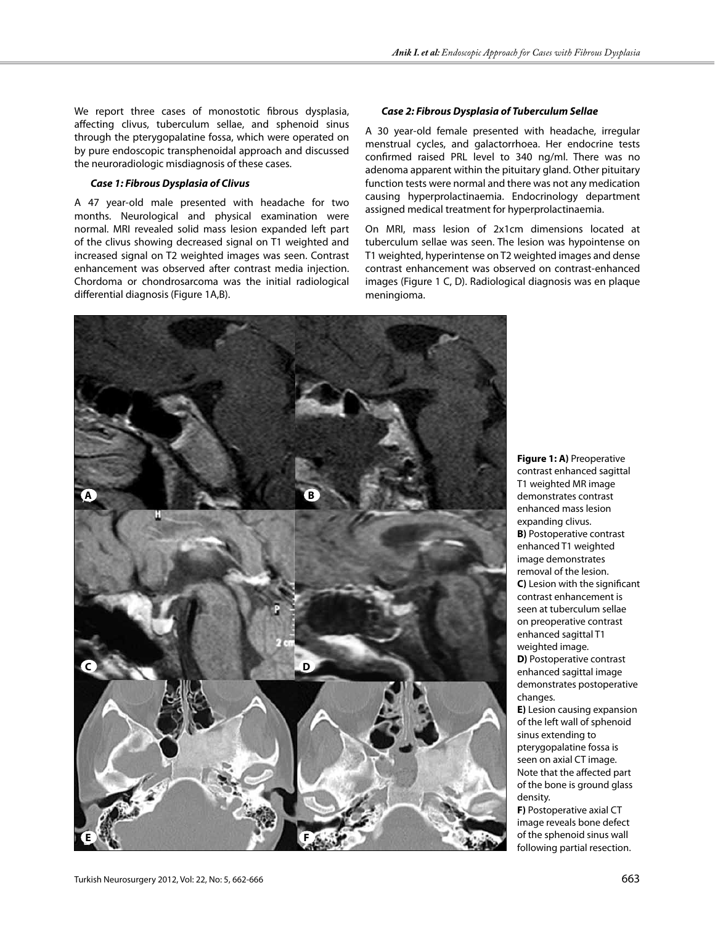We report three cases of monostotic fibrous dysplasia, affecting clivus, tuberculum sellae, and sphenoid sinus through the pterygopalatine fossa, which were operated on by pure endoscopic transphenoidal approach and discussed the neuroradiologic misdiagnosis of these cases.

# *Case 1: Fibrous Dysplasia of Clivus*

A 47 year-old male presented with headache for two months. Neurological and physical examination were normal. MRI revealed solid mass lesion expanded left part of the clivus showing decreased signal on T1 weighted and increased signal on T2 weighted images was seen. Contrast enhancement was observed after contrast media injection. Chordoma or chondrosarcoma was the initial radiological differential diagnosis (Figure 1A,B).

## *Case 2: Fibrous Dysplasia of Tuberculum Sellae*

A 30 year-old female presented with headache, irregular menstrual cycles, and galactorrhoea. Her endocrine tests confirmed raised PRL level to 340 ng/ml. There was no adenoma apparent within the pituitary gland. Other pituitary function tests were normal and there was not any medication causing hyperprolactinaemia. Endocrinology department assigned medical treatment for hyperprolactinaemia.

On MRI, mass lesion of 2x1cm dimensions located at tuberculum sellae was seen. The lesion was hypointense on T1 weighted, hyperintense on T2 weighted images and dense contrast enhancement was observed on contrast-enhanced images (Figure 1 C, D). Radiological diagnosis was en plaque meningioma.



**Figure 1: A)** Preoperative contrast enhanced sagittal T1 weighted MR image demonstrates contrast enhanced mass lesion expanding clivus. **B)** Postoperative contrast enhanced T1 weighted image demonstrates removal of the lesion. **C**) Lesion with the significant contrast enhancement is seen at tuberculum sellae on preoperative contrast enhanced sagittal T1 weighted image. **D)** Postoperative contrast enhanced sagittal image demonstrates postoperative changes. **E)** Lesion causing expansion of the left wall of sphenoid sinus extending to pterygopalatine fossa is

seen on axial CT image. Note that the affected part of the bone is ground glass density.

**F)** Postoperative axial CT image reveals bone defect of the sphenoid sinus wall following partial resection.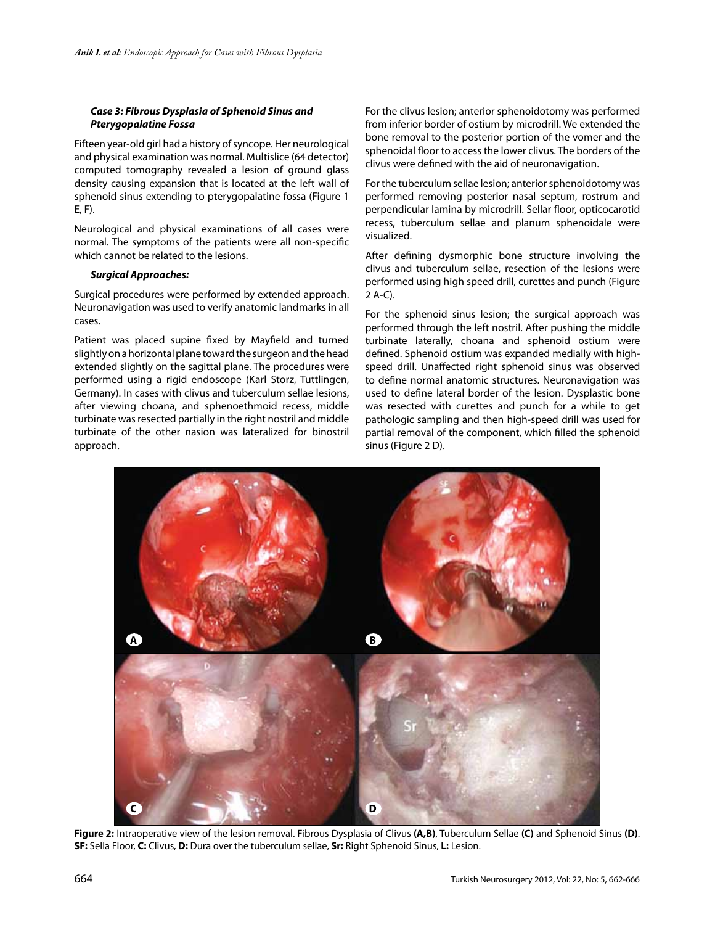## *Case 3: Fibrous Dysplasia of Sphenoid Sinus and Pterygopalatine Fossa*

Fifteen year-old girl had a history of syncope. Her neurological and physical examination was normal. Multislice (64 detector) computed tomography revealed a lesion of ground glass density causing expansion that is located at the left wall of sphenoid sinus extending to pterygopalatine fossa (Figure 1 E, F).

Neurological and physical examinations of all cases were normal. The symptoms of the patients were all non-specific which cannot be related to the lesions.

## *Surgical Approaches:*

Surgical procedures were performed by extended approach. Neuronavigation was used to verify anatomic landmarks in all cases.

Patient was placed supine fixed by Mayfield and turned slightly on a horizontal plane toward the surgeon and the head extended slightly on the sagittal plane. The procedures were performed using a rigid endoscope (Karl Storz, Tuttlingen, Germany). In cases with clivus and tuberculum sellae lesions, after viewing choana, and sphenoethmoid recess, middle turbinate was resected partially in the right nostril and middle turbinate of the other nasion was lateralized for binostril approach.

For the clivus lesion; anterior sphenoidotomy was performed from inferior border of ostium by microdrill. We extended the bone removal to the posterior portion of the vomer and the sphenoidal floor to access the lower clivus. The borders of the clivus were defined with the aid of neuronavigation.

For the tuberculum sellae lesion; anterior sphenoidotomy was performed removing posterior nasal septum, rostrum and perpendicular lamina by microdrill. Sellar floor, opticocarotid recess, tuberculum sellae and planum sphenoidale were visualized.

After defining dysmorphic bone structure involving the clivus and tuberculum sellae, resection of the lesions were performed using high speed drill, curettes and punch (Figure 2 A-C).

For the sphenoid sinus lesion; the surgical approach was performed through the left nostril. After pushing the middle turbinate laterally, choana and sphenoid ostium were defined. Sphenoid ostium was expanded medially with highspeed drill. Unaffected right sphenoid sinus was observed to define normal anatomic structures. Neuronavigation was used to define lateral border of the lesion. Dysplastic bone was resected with curettes and punch for a while to get pathologic sampling and then high-speed drill was used for partial removal of the component, which filled the sphenoid sinus (Figure 2 D).



**Figure 2:** Intraoperative view of the lesion removal. Fibrous Dysplasia of Clivus **(A,B)**, Tuberculum Sellae **(C)** and Sphenoid Sinus **(D)**. **SF:** Sella Floor, **C:** Clivus, **D:** Dura over the tuberculum sellae, **Sr:** Right Sphenoid Sinus, **L:** Lesion.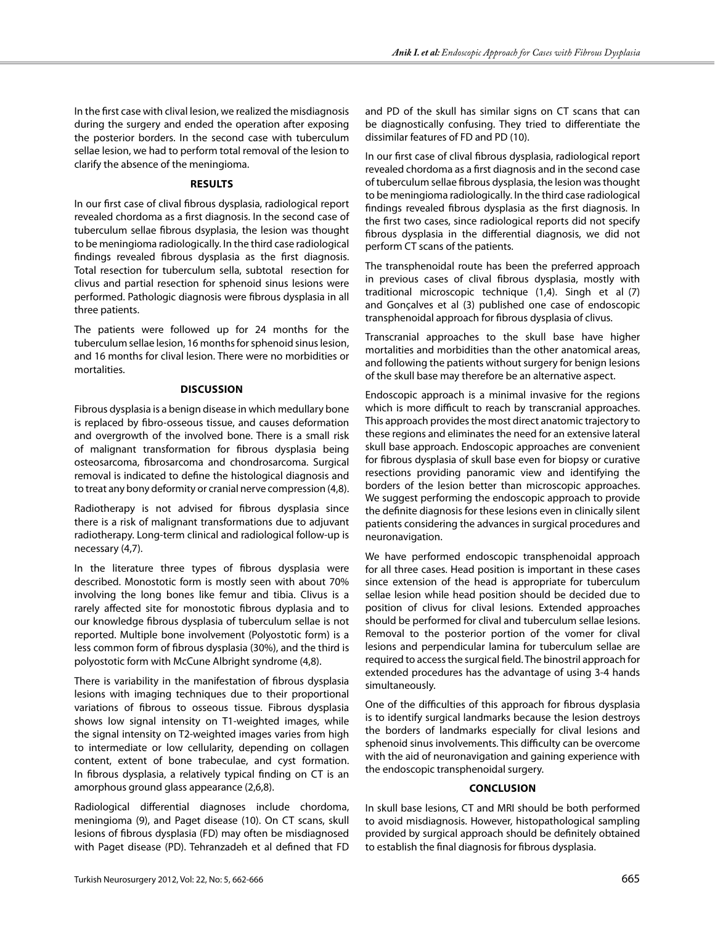In the first case with clival lesion, we realized the misdiagnosis during the surgery and ended the operation after exposing the posterior borders. In the second case with tuberculum sellae lesion, we had to perform total removal of the lesion to clarify the absence of the meningioma.

## **Results**

In our first case of clival fibrous dysplasia, radiological report revealed chordoma as a first diagnosis. In the second case of tuberculum sellae fibrous dsyplasia, the lesion was thought to be meningioma radiologically. In the third case radiological findings revealed fibrous dysplasia as the first diagnosis. Total resection for tuberculum sella, subtotal resection for clivus and partial resection for sphenoid sinus lesions were performed. Pathologic diagnosis were fibrous dysplasia in all three patients.

The patients were followed up for 24 months for the tuberculum sellae lesion, 16 months for sphenoid sinus lesion, and 16 months for clival lesion. There were no morbidities or mortalities.

## **Discussion**

Fibrous dysplasia is a benign disease in which medullary bone is replaced by fibro-osseous tissue, and causes deformation and overgrowth of the involved bone. There is a small risk of malignant transformation for fibrous dysplasia being osteosarcoma, fibrosarcoma and chondrosarcoma. Surgical removal is indicated to define the histological diagnosis and to treat any bony deformity or cranial nerve compression (4,8).

Radiotherapy is not advised for fibrous dysplasia since there is a risk of malignant transformations due to adjuvant radiotherapy. Long-term clinical and radiological follow-up is necessary (4,7).

In the literature three types of fibrous dysplasia were described. Monostotic form is mostly seen with about 70% involving the long bones like femur and tibia. Clivus is a rarely affected site for monostotic fibrous dyplasia and to our knowledge fibrous dysplasia of tuberculum sellae is not reported. Multiple bone involvement (Polyostotic form) is a less common form of fibrous dysplasia (30%), and the third is polyostotic form with McCune Albright syndrome (4,8).

There is variability in the manifestation of fibrous dysplasia lesions with imaging techniques due to their proportional variations of fibrous to osseous tissue. Fibrous dysplasia shows low signal intensity on T1-weighted images, while the signal intensity on T2-weighted images varies from high to intermediate or low cellularity, depending on collagen content, extent of bone trabeculae, and cyst formation. In fibrous dysplasia, a relatively typical finding on CT is an amorphous ground glass appearance (2,6,8).

Radiological differential diagnoses include chordoma, meningioma (9), and Paget disease (10). On CT scans, skull lesions of fibrous dysplasia (FD) may often be misdiagnosed with Paget disease (PD). Tehranzadeh et al defined that FD and PD of the skull has similar signs on CT scans that can be diagnostically confusing. They tried to differentiate the dissimilar features of FD and PD (10).

In our first case of clival fibrous dysplasia, radiological report revealed chordoma as a first diagnosis and in the second case of tuberculum sellae fibrous dysplasia, the lesion was thought to be meningioma radiologically. In the third case radiological findings revealed fibrous dysplasia as the first diagnosis. In the first two cases, since radiological reports did not specify fibrous dysplasia in the differential diagnosis, we did not perform CT scans of the patients.

The transphenoidal route has been the preferred approach in previous cases of clival fibrous dysplasia, mostly with traditional microscopic technique (1,4). Singh et al (7) and Gonçalves et al (3) published one case of endoscopic transphenoidal approach for fibrous dysplasia of clivus.

Transcranial approaches to the skull base have higher mortalities and morbidities than the other anatomical areas, and following the patients without surgery for benign lesions of the skull base may therefore be an alternative aspect.

Endoscopic approach is a minimal invasive for the regions which is more difficult to reach by transcranial approaches. This approach provides the most direct anatomic trajectory to these regions and eliminates the need for an extensive lateral skull base approach. Endoscopic approaches are convenient for fibrous dysplasia of skull base even for biopsy or curative resections providing panoramic view and identifying the borders of the lesion better than microscopic approaches. We suggest performing the endoscopic approach to provide the definite diagnosis for these lesions even in clinically silent patients considering the advances in surgical procedures and neuronavigation.

We have performed endoscopic transphenoidal approach for all three cases. Head position is important in these cases since extension of the head is appropriate for tuberculum sellae lesion while head position should be decided due to position of clivus for clival lesions. Extended approaches should be performed for clival and tuberculum sellae lesions. Removal to the posterior portion of the vomer for clival lesions and perpendicular lamina for tuberculum sellae are required to access the surgical field. The binostril approach for extended procedures has the advantage of using 3-4 hands simultaneously.

One of the difficulties of this approach for fibrous dysplasia is to identify surgical landmarks because the lesion destroys the borders of landmarks especially for clival lesions and sphenoid sinus involvements. This difficulty can be overcome with the aid of neuronavigation and gaining experience with the endoscopic transphenoidal surgery.

# **Conclusion**

In skull base lesions, CT and MRI should be both performed to avoid misdiagnosis. However, histopathological sampling provided by surgical approach should be definitely obtained to establish the final diagnosis for fibrous dysplasia.